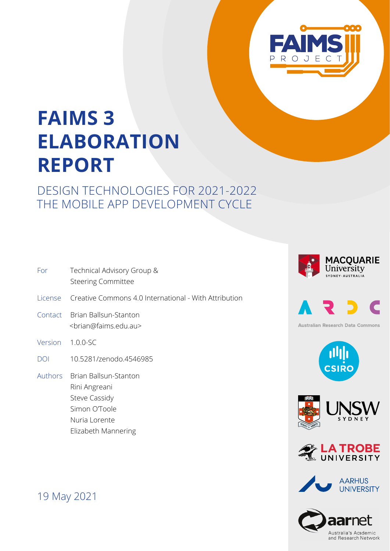

# **FAIMS 3 ELABORATION REPORT**

## DESIGN TECHNOLOGIES FOR 2021-2022 THE MOBILE APP DEVELOPMENT CYCLE

| Technical Advisory Group &<br><b>Steering Committee</b><br>Creative Commons 4.0 International - With Attribution<br>Brian Ballsun-Stanton |
|-------------------------------------------------------------------------------------------------------------------------------------------|
|                                                                                                                                           |
|                                                                                                                                           |
| <brian@faims.edu.au></brian@faims.edu.au>                                                                                                 |
| Version 1.0.0-SC                                                                                                                          |
| 10.5281/zenodo.4546985                                                                                                                    |
| Authors Brian Ballsun-Stanton<br>Rini Angreani<br>Steve Cassidy<br>Simon O'Toole<br>Nuria Lorente                                         |
|                                                                                                                                           |







**Australian Research Data Commons** 









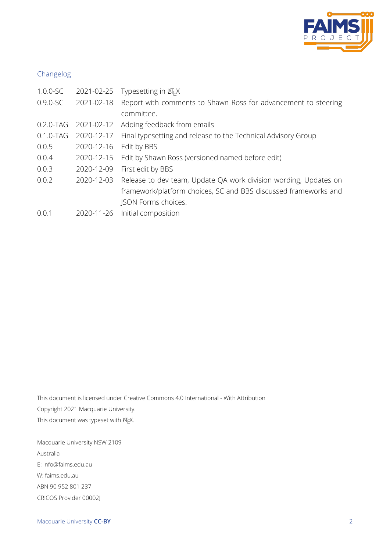

#### Changelog

| $1.0.0 - SC$  | 2021-02-25 | Typesetting in KFX                                               |
|---------------|------------|------------------------------------------------------------------|
| $0.9.0 - SC$  | 2021-02-18 | Report with comments to Shawn Ross for advancement to steering   |
|               |            | committee.                                                       |
| $0.2.0$ -TAG  | 2021-02-12 | Adding feedback from emails                                      |
| $0.1.0 - TAG$ | 2020-12-17 | Final typesetting and release to the Technical Advisory Group    |
| 0.0.5         | 2020-12-16 | Edit by BBS                                                      |
| 0.0.4         | 2020-12-15 | Edit by Shawn Ross (versioned named before edit)                 |
| 0.0.3         | 2020-12-09 | First edit by BBS                                                |
| 0.0.2         | 2020-12-03 | Release to dev team, Update QA work division wording, Updates on |
|               |            | framework/platform choices, SC and BBS discussed frameworks and  |
|               |            | JSON Forms choices.                                              |
| 0.0.1         | 2020-11-26 | Initial composition                                              |

This document is licensed under Creative Commons 4.0 International - With Attribution Copyright 2021 Macquarie University. This document was typeset with ETEX.

Macquarie University NSW 2109 Australia E: info@faims.edu.au W: faims.edu.au ABN 90 952 801 237 CRICOS Provider 00002J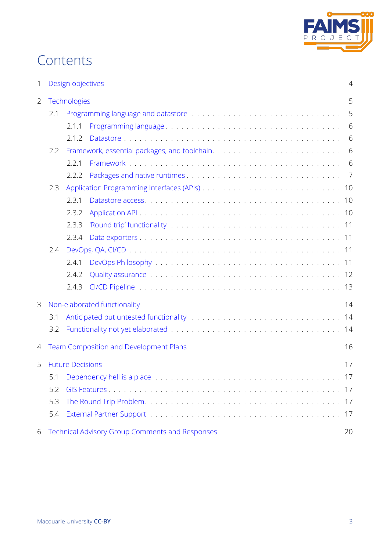

## **Contents**

| $\mathbf{1}$ | Design objectives<br>$\overline{4}$                 |                                                        |    |  |  |
|--------------|-----------------------------------------------------|--------------------------------------------------------|----|--|--|
| 2            |                                                     | Technologies                                           |    |  |  |
|              | 2.1                                                 |                                                        | 5  |  |  |
|              |                                                     | 2.1.1                                                  | 6  |  |  |
|              |                                                     | 2.1.2                                                  | 6  |  |  |
|              | 2.2                                                 |                                                        |    |  |  |
|              |                                                     | 2.2.1                                                  | 6  |  |  |
|              |                                                     | 2.2.2                                                  |    |  |  |
| 2.3          |                                                     |                                                        |    |  |  |
|              |                                                     | 2.3.1                                                  |    |  |  |
|              |                                                     | 2.3.2                                                  |    |  |  |
|              |                                                     | 2.3.3                                                  |    |  |  |
|              |                                                     | 2.3.4                                                  |    |  |  |
|              | 2.4                                                 |                                                        |    |  |  |
|              |                                                     | 2.4.1                                                  |    |  |  |
|              |                                                     | 2.4.2                                                  |    |  |  |
|              |                                                     | 2.4.3                                                  |    |  |  |
| 3            |                                                     | Non-elaborated functionality                           | 14 |  |  |
|              | 3.1                                                 |                                                        |    |  |  |
|              | 3.2                                                 |                                                        |    |  |  |
| 4            | <b>Team Composition and Development Plans</b><br>16 |                                                        |    |  |  |
| 5            |                                                     | <b>Future Decisions</b>                                | 17 |  |  |
|              | 5.1                                                 |                                                        |    |  |  |
|              | 5.2                                                 |                                                        |    |  |  |
|              | 5.3                                                 |                                                        |    |  |  |
|              | 5.4<br>17                                           |                                                        |    |  |  |
| 6            |                                                     | <b>Technical Advisory Group Comments and Responses</b> | 20 |  |  |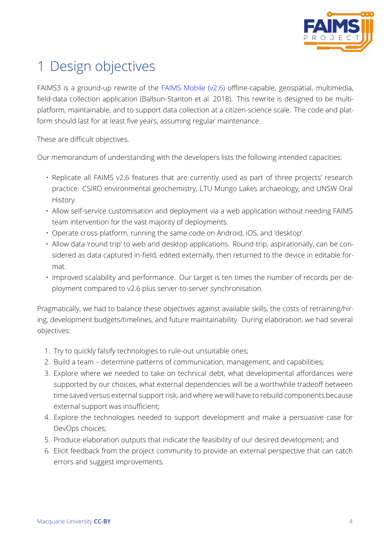

## 1 Design objectives

<span id="page-3-0"></span>FAIMS3 is a ground-up rewrite of the FAIMS Mobile (v2.6) offline-capable, geospatial, multimedia, field-data collection application (Ballsun-Stanton et al. 2018). This rewrite is designed to be multiplatform, maintainable, and to support data collection at a citizen-science scale. The code and platform should last for at least five years, [assuming regular ma](https://github.com/FAIMS)intenance.

These are difficult objectives.

Our memorandum of understanding with the developers lists the following intended capacities:

- Replicate all FAIMS v2.6 features that are currently used as part of three projects' research practice: CSIRO environmental geochemistry, LTU Mungo Lakes archaeology, and UNSW Oral History.
- Allow self-service customisation and deployment via a web application without needing FAIMS team intervention for the vast majority of deployments.
- Operate cross-platform, running the same code on Android, iOS, and 'desktop'.
- Allow data 'round trip' to web and desktop applications. Round-trip, aspirationally, can be considered as data captured in-field, edited externally, then returned to the device in editable format.
- Improved scalability and performance. Our target is ten times the number of records per deployment compared to v2.6 plus server-to-server synchronisation.

Pragmatically, we had to balance these objectives against available skills, the costs of retraining/hiring, development budgets/timelines, and future maintainability. During elaboration, we had several objectives:

- 1. Try to quickly falsify technologies to rule-out unsuitable ones;
- 2. Build a team determine patterns of communication, management, and capabilities;
- 3. Explore where we needed to take on technical debt, what developmental affordances were supported by our choices, what external dependencies will be a worthwhile tradeoff between time saved versus external support risk, and where we will have to rebuild components because external support was insufficient;
- 4. Explore the technologies needed to support development and make a persuasive case for DevOps choices;
- 5. Produce elaboration outputs that indicate the feasibility of our desired development; and
- 6. Elicit feedback from the project community to provide an external perspective that can catch errors and suggest improvements.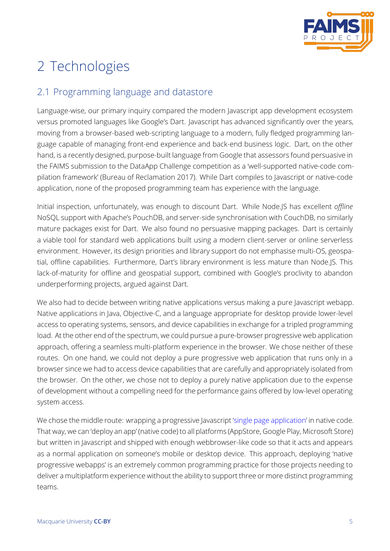

# 2 Technologies

## 2.1 Programming language and datastore

<span id="page-4-1"></span><span id="page-4-0"></span>Language-wise, our primary inquiry compared the modern Javascript app development ecosystem versus promoted languages like Google's Dart. Javascript has advanced significantly over the years, moving from a browser-based web-scripting language to a modern, fully fledged programming language capable of managing front-end experience and back-end business logic. Dart, on the other hand, is a recently designed, purpose-built language from Google that assessors found persuasive in the FAIMS submission to the DataApp Challenge competition as a 'well-supported native-code compilation framework' (Bureau of Reclamation 2017). While Dart compiles to Javascript or native-code application, none of the proposed programming team has experience with the language.

Initial inspection, unfortunately, was enoug[h to d](#page-18-0)iscount Dart. While Node.JS has excellent *offline* NoSQL support with Apache's PouchDB, and server-side synchronisation with CouchDB, no similarly mature packages exist for Dart. We also found no persuasive mapping packages. Dart is certainly a viable tool for standard web applications built using a modern client-server or online serverless environment. However, its design priorities and library support do not emphasise multi-OS, geospatial, offline capabilities. Furthermore, Dart's library environment is less mature than Node.JS. This lack-of-maturity for offline and geospatial support, combined with Google's proclivity to abandon underperforming projects, argued against Dart.

We also had to decide between writing native applications versus making a pure Javascript webapp. Native applications in Java, Objective-C, and a language appropriate for desktop provide lower-level access to operating systems, sensors, and device capabilities in exchange for a tripled programming load. At the other end of the spectrum, we could pursue a pure-browser progressive web application approach, offering a seamless multi-platform experience in the browser. We chose neither of these routes. On one hand, we could not deploy a pure progressive web application that runs only in a browser since we had to access device capabilities that are carefully and appropriately isolated from the browser. On the other, we chose not to deploy a purely native application due to the expense of development without a compelling need for the performance gains offered by low-level operating system access.

<span id="page-4-2"></span>We chose the middle route: wrapping a progressive Javascript 'single page application' in native code. That way, we can 'deploy an app' (native code) to all platforms (AppStore, Google Play, Microsoft Store) but written in Javascript and shipped with enough webbrowser-like code so that it acts and appears as a normal application on someone's mobile or desktop de[vice. This approach, de](https://en.wikipedia.org/wiki/Single-page_application)ploying 'native progressive webapps' is an extremely common programming practice for those projects needing to deliver a multiplatform experience without the ability to support three or more distinct programming teams.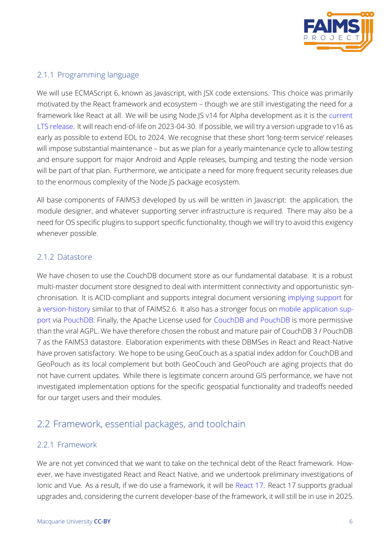

#### 2.1.1 Programming language

We will use ECMAScript 6, known as Javascript, with JSX code extensions. This choice was primarily motivated by the React framework and ecosystem – though we are still investigating the need for a framework like React at all. We will be using Node.JS v14 for Alpha development as it is the current LTS release. It will reach end-of-life on 2023-04-30. If possible, we will try a version upgrade to v16 as early as possible to extend EOL to 2024. We recognise that these short 'long-term service' releases will impose substantial maintenance – but as we plan for a yearly maintenance cycle to allo[w testing](https://nodejs.org/en/about/releases/) [and ensure](https://nodejs.org/en/about/releases/) support for major Android and Apple releases, bumping and testing the node version will be part of that plan. Furthermore, we anticipate a need for more frequent security releases due to the enormous complexity of the Node.JS package ecosystem.

All base components of FAIMS3 developed by us will be written in Javascript: the application, the module designer, and whatever supporting server infrastructure is required. There may also be a need for OS specific plugins to support specific functionality, though we will try to avoid this exigency whenever possible.

#### 2.1.2 Datastore

<span id="page-5-0"></span>We have chosen to use the CouchDB document store as our fundamental database. It is a robust multi-master document store designed to deal with intermittent connectivity and opportunistic synchronisation. It is ACID-compliant and supports integral document versioning implying support for a version-history similar to that of FAIMS2.6. It also has a stronger focus on mobile application support via PouchDB. Finally, the Apache License used for CouchDB and PouchDB is more permissive than the viral AGPL. We have therefore chosen the robust and mature pair of C[ouchDB 3 / Pouch](https://docs.couchdb.org/en/stable/api/database/misc.html#db-revs-diff)DB 7 [as the FAIMS3](https://dba.stackexchange.com/a/248675) datastore. Elaboration experiments with these DBMSes in [React and React-Native](https://severalnines.com/database-blog/battle-nosql-databases-comparing-mongodb-and-couchdb) [have](https://severalnines.com/database-blog/battle-nosql-databases-comparing-mongodb-and-couchdb) pr[oven satisf](https://pouchdb.com/)actory. We hope to be using GeoCou[ch as a spatial index addo](https://db-engines.com/en/system/CouchDB%3BMongoDB%3BPouchDB)n for CouchDB and GeoPouch as its local complement but both GeoCouch and GeoPouch are aging projects that do not have current updates. While there is legitimate concern around GIS performance, we have not investigated implementation options for the specific geospatial functionality and tradeoffs needed for our target users and their modules.

### 2.2 Framework, essential packages, and toolchain

#### <span id="page-5-1"></span>2.2.1 Framework

<span id="page-5-2"></span>We are not yet convinced that we want to take on the technical debt of the React framework. However, we have investigated React and React Native, and we undertook preliminary investigations of Ionic and Vue. As a result, if we do use a framework, it will be React 17. React 17 supports gradual upgrades and, considering the current developer-base of the framework, it will still be in use in 2025.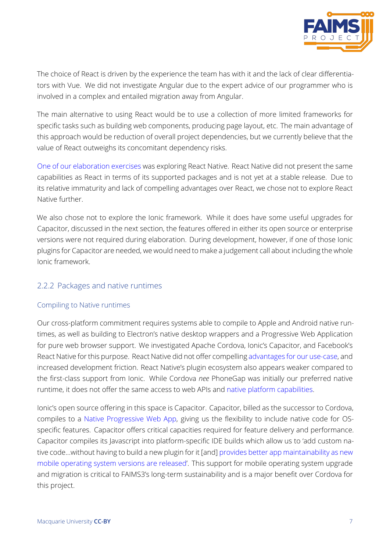

The choice of React is driven by the experience the team has with it and the lack of clear differentiators with Vue. We did not investigate Angular due to the expert advice of our programmer who is involved in a complex and entailed migration away from Angular.

The main alternative to using React would be to use a collection of more limited frameworks for specific tasks such as building web components, producing page layout, etc. The main advantage of this approach would be reduction of overall project dependencies, but we currently believe that the value of React outweighs its concomitant dependency risks.

One of our elaboration exercises was exploring React Native. React Native did not present the same capabilities as React in terms of its supported packages and is not yet at a stable release. Due to its relative immaturity and lack of compelling advantages over React, we chose not to explore React [Native further.](https://github.com/FAIMS/faims3reactnative)

We also chose not to explore the Ionic framework. While it does have some useful upgrades for Capacitor, discussed in the next section, the features offered in either its open source or enterprise versions were not required during elaboration. During development, however, if one of those Ionic plugins for Capacitor are needed, we would need to make a judgement call about including the whole Ionic framework.

#### 2.2.2 Packages and native runtimes

#### <span id="page-6-0"></span>Compiling to Native runtimes

Our cross-platform commitment requires systems able to compile to Apple and Android native runtimes, as well as building to Electron's native desktop wrappers and a Progressive Web Application for pure web browser support. We investigated Apache Cordova, Ionic's Capacitor, and Facebook's React Native for this purpose. React Native did not offer compelling advantages for our use-case, and increased development friction. React Native's plugin ecosystem also appears weaker compared to the first-class support from Ionic. While Cordova *nee* PhoneGap was initially our preferred native runtime, it does not offer the same access to web APIs and native [platform capabilities.](https://ionicframework.com/blog/ask-a-lead-dev-react-native-or-ionic/)

Ionic's open source offering in this space is Capacitor. Capacitor, billed as the successor to Cordova, compiles to a Native Progressive Web App, giving us the [flexibility to include native c](https://ionicframework.com/resources/articles/capacitor-vs-cordova-modern-hybrid-app-development)ode for OSspecific features. Capacitor offers critical capacities required for feature delivery and performance. Capacitor compiles its Javascript into platform-specific IDE builds which allow us to 'add custom native code...wit[hout having to build a new plug](https://ionicframework.com/docs/reference/glossary)in for it [and] provides better app maintainability as new mobile operating system versions are released'. This support for mobile operating system upgrade and migration is critical to FAIMS3's long-term sustainability and is a major benefit over Cordova for this project.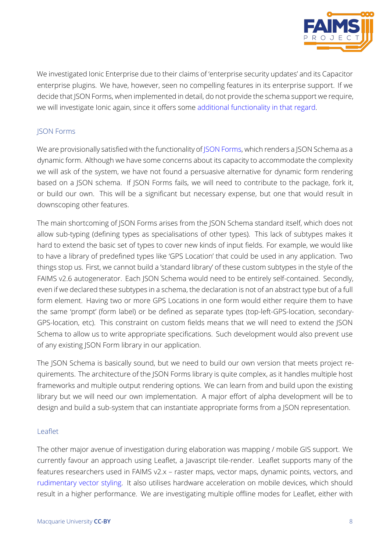

We investigated Ionic Enterprise due to their claims of 'enterprise security updates' and its Capacitor enterprise plugins. We have, however, seen no compelling features in its enterprise support. If we decide that JSON Forms, when implemented in detail, do not provide the schema support we require, we will investigate Ionic again, since it offers some additional functionality in that regard.

#### JSON Forms

We are provisionally satisfied with the functionality of JSON Forms, which renders a JSON Schema as a dynamic form. Although we have some concerns about its capacity to accommodate the complexity we will ask of the system, we have not found a persuasive alternative for dynamic form rendering based on a JSON schema. If JSON Forms fails, we [will need to](https://jsonforms.io/) contribute to the package, fork it, or build our own. This will be a significant but necessary expense, but one that would result in downscoping other features.

The main shortcoming of JSON Forms arises from the JSON Schema standard itself, which does not allow sub-typing (defining types as specialisations of other types). This lack of subtypes makes it hard to extend the basic set of types to cover new kinds of input fields. For example, we would like to have a library of predefined types like 'GPS Location' that could be used in any application. Two things stop us. First, we cannot build a 'standard library' of these custom subtypes in the style of the FAIMS v2.6 autogenerator. Each JSON Schema would need to be entirely self-contained. Secondly, even if we declared these subtypes in a schema, the declaration is not of an abstract type but of a full form element. Having two or more GPS Locations in one form would either require them to have the same 'prompt' (form label) or be defined as separate types (top-left-GPS-location, secondary-GPS-location, etc). This constraint on custom fields means that we will need to extend the JSON Schema to allow us to write appropriate specifications. Such development would also prevent use of any existing JSON Form library in our application.

The JSON Schema is basically sound, but we need to build our own version that meets project requirements. The architecture of the JSON Forms library is quite complex, as it handles multiple host frameworks and multiple output rendering options. We can learn from and build upon the existing library but we will need our own implementation. A major effort of alpha development will be to design and build a sub-system that can instantiate appropriate forms from a JSON representation.

#### Leaflet

The other major avenue of investigation during elaboration was mapping / mobile GIS support. We currently favour an approach using Leaflet, a Javascript tile-render. Leaflet supports many of the features researchers used in FAIMS v2.x – raster maps, vector maps, dynamic points, vectors, and rudimentary vector styling. It also utilises hardware acceleration on mobile devices, which should result in a higher performance. We are investigating multiple offline modes for Leaflet, either with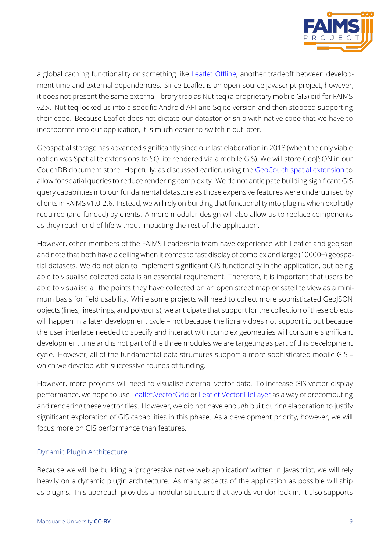

a global caching functionality or something like Leaflet Offline, another tradeoff between development time and external dependencies. Since Leaflet is an open-source javascript project, however, it does not present the same external library trap as Nutiteq (a proprietary mobile GIS) did for FAIMS v2.x. Nutiteq locked us into a specific Android A[PI and Sqlite ve](https://github.com/allartk/leaflet.offline)rsion and then stopped supporting their code. Because Leaflet does not dictate our datastor or ship with native code that we have to incorporate into our application, it is much easier to switch it out later.

Geospatial storage has advanced significantly since our last elaboration in 2013 (when the only viable option was Spatialite extensions to SQLite rendered via a mobile GIS). We will store GeoJSON in our CouchDB document store. Hopefully, as discussed earlier, using the GeoCouch spatial extension to allow for spatial queries to reduce rendering complexity. We do not anticipate building significant GIS query capabilities into our fundamental datastore as those expensive features were underutilised by clients in FAIMS v1.0-2.6. Instead, we will rely on building that functio[nality into plugins when explici](https://github.com/couchbase/geocouch)tly required (and funded) by clients. A more modular design will also allow us to replace components as they reach end-of-life without impacting the rest of the application.

However, other members of the FAIMS Leadership team have experience with Leaflet and geojson and note that both have a ceiling when it comes to fast display of complex and large (10000+) geospatial datasets. We do not plan to implement significant GIS functionality in the application, but being able to visualise collected data is an essential requirement. Therefore, it is important that users be able to visualise all the points they have collected on an open street map or satellite view as a minimum basis for field usability. While some projects will need to collect more sophisticated GeoJSON objects (lines, linestrings, and polygons), we anticipate that support for the collection of these objects will happen in a later development cycle - not because the library does not support it, but because the user interface needed to specify and interact with complex geometries will consume significant development time and is not part of the three modules we are targeting as part of this development cycle. However, all of the fundamental data structures support a more sophisticated mobile GIS – which we develop with successive rounds of funding.

However, more projects will need to visualise external vector data. To increase GIS vector display performance, we hope to use Leaflet.VectorGrid or Leaflet.VectorTileLayer as a way of precomputing and rendering these vector tiles. However, we did not have enough built during elaboration to justify significant exploration of GIS capabilities in this phase. As a development priority, however, we will focus more on GIS performa[nce than features.](https://github.com/Leaflet/Leaflet.VectorGrid)

#### Dynamic Plugin Architecture

Because we will be building a 'progressive native web application' written in Javascript, we will rely heavily on a dynamic plugin architecture. As many aspects of the application as possible will ship as plugins. This approach provides a modular structure that avoids vendor lock-in. It also supports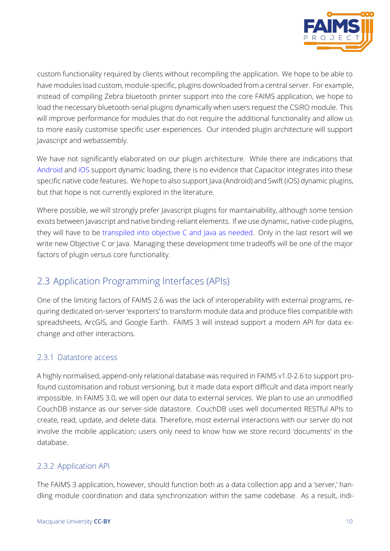

custom functionality required by clients without recompiling the application. We hope to be able to have modules load custom, module-specific, plugins downloaded from a central server. For example, instead of compiling Zebra bluetooth printer support into the core FAIMS application, we hope to load the necessary bluetooth-serial plugins dynamically when users request the CSIRO module. This will improve performance for modules that do not require the additional functionality and allow us to more easily customise specific user experiences. Our intended plugin architecture will support Javascript and webassembly.

We have not significantly elaborated on our plugin architecture. While there are indications that Android and iOS support dynamic loading, there is no evidence that Capacitor integrates into these specific native code features. We hope to also support Java (Android) and Swift (iOS) dynamic plugins, but that hope is not currently explored in the literature.

Where possible, we will strongly prefer Javascript plugins for maintainability, although some tension exists between Javascript and native binding-reliant elements. If we use dynamic, native-code plugins, they will have to be transpiled into objective C and Java as needed. Only in the last resort will we write new Objective C or Java. Managing these development time tradeoffs will be one of the major factors of plugin versus core functionality.

### 2.3 Application Programming Interfaces (APIs)

<span id="page-9-0"></span>One of the limiting factors of FAIMS 2.6 was the lack of interoperability with external programs, requiring dedicated on-server 'exporters' to transform module data and produce files compatible with spreadsheets, ArcGIS, and Google Earth. FAIMS 3 will instead support a modern API for data exchange and other interactions.

#### 2.3.1 Datastore access

<span id="page-9-1"></span>A highly normalised, append-only relational database was required in FAIMS v1.0-2.6 to support profound customisation and robust versioning, but it made data export difficult and data import nearly impossible. In FAIMS 3.0, we will open our data to external services. We plan to use an unmodified CouchDB instance as our server-side datastore. CouchDB uses well documented RESTful APIs to create, read, update, and delete data. Therefore, most external interactions with our server do not involve the mobile application; users only need to know how we store record 'documents' in the database.

#### 2.3.2 Application API

<span id="page-9-2"></span>The FAIMS 3 application, however, should function both as a data collection app and a 'server,' handling module coordination and data synchronization within the same codebase. As a result, indi-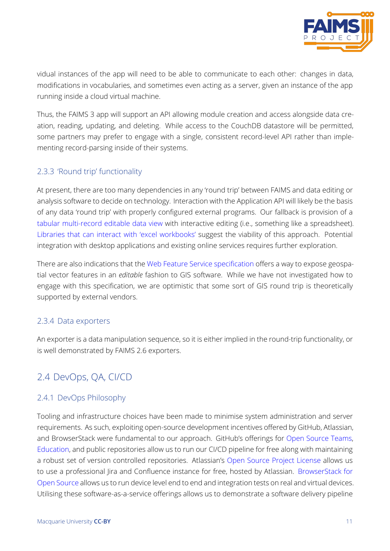

vidual instances of the app will need to be able to communicate to each other: changes in data, modifications in vocabularies, and sometimes even acting as a server, given an instance of the app running inside a cloud virtual machine.

Thus, the FAIMS 3 app will support an API allowing module creation and access alongside data creation, reading, updating, and deleting. While access to the CouchDB datastore will be permitted, some partners may prefer to engage with a single, consistent record-level API rather than implementing record-parsing inside of their systems.

#### 2.3.3 'Round trip' functionality

<span id="page-10-0"></span>At present, there are too many dependencies in any 'round trip' between FAIMS and data editing or analysis software to decide on technology. Interaction with the Application API will likely be the basis of any data 'round trip' with properly configured external programs. Our fallback is provision of a tabular multi-record editable data view with interactive editing (i.e., something like a spreadsheet). Libraries that can interact with 'excel workbooks' suggest the viability of this approach. Potential integration with desktop applications and existing online services requires further exploration.

[There are also indications that the](https://www.npmjs.com/package/xlsx) Web Feature Service specification offers a way to expose geospatial vector features in an *editable* fashion to GIS software. While we have not investigated how to engage with this specification, we are optimistic that some sort of GIS round trip is theoretically supported by external vendors.

#### 2.3.4 Data exporters

<span id="page-10-1"></span>An exporter is a data manipulation sequence, so it is either implied in the round-trip functionality, or is well demonstrated by FAIMS 2.6 exporters.

## 2.4 DevOps, QA, CI/CD

#### <span id="page-10-2"></span>2.4.1 DevOps Philosophy

<span id="page-10-3"></span>Tooling and infrastructure choices have been made to minimise system administration and server requirements. As such, exploiting open-source development incentives offered by GitHub, Atlassian, and BrowserStack were fundamental to our approach. GitHub's offerings for Open Source Teams, Education, and public repositories allow us to run our CI/CD pipeline for free along with maintaining a robust set of version controlled repositories. Atlassian's Open Source Project License allows us to use a professional Jira and Confluence instance for free, hosted by Atlassian. [BrowserStack for](https://github.com/account/organizations/new?plan=free&ref_cta=Sign%2520up%2520your%2520team&ref_loc=changing%2520the%2520world&ref_page=%2Fpricing&source=pricing-open-source) [Open Sour](https://education.github.com)ce allows us to run device level end to end and integration tests on real and virtual devices. Utilising these software-as-a-service offerings allows us to d[emonstrate a software deliver](https://www.atlassian.com/software/views/open-source-license-request)y pipeline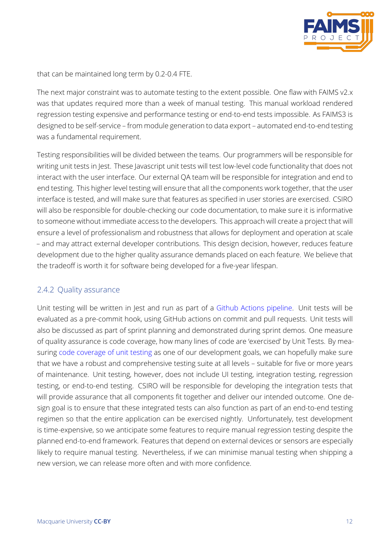

that can be maintained long term by 0.2-0.4 FTE.

The next major constraint was to automate testing to the extent possible. One flaw with FAIMS v2.x was that updates required more than a week of manual testing. This manual workload rendered regression testing expensive and performance testing or end-to-end tests impossible. As FAIMS3 is designed to be self-service – from module generation to data export – automated end-to-end testing was a fundamental requirement.

Testing responsibilities will be divided between the teams. Our programmers will be responsible for writing unit tests in Jest. These Javascript unit tests will test low-level code functionality that does not interact with the user interface. Our external QA team will be responsible for integration and end to end testing. This higher level testing will ensure that all the components work together, that the user interface is tested, and will make sure that features as specified in user stories are exercised. CSIRO will also be responsible for double-checking our code documentation, to make sure it is informative to someone without immediate access to the developers. This approach will create a project that will ensure a level of professionalism and robustness that allows for deployment and operation at scale – and may attract external developer contributions. This design decision, however, reduces feature development due to the higher quality assurance demands placed on each feature. We believe that the tradeoff is worth it for software being developed for a five-year lifespan.

#### 2.4.2 Quality assurance

<span id="page-11-1"></span><span id="page-11-0"></span>Unit testing will be written in Jest and run as part of a Github Actions pipeline. Unit tests will be evaluated as a pre-commit hook, using GitHub actions on commit and pull requests. Unit tests will also be discussed as part of sprint planning and demonstrated during sprint demos. One measure of quality assurance is code coverage, how many lines of [code are 'exercised' by U](https://github.com/FAIMS/FAIMS3-Elaboration/blob/master/.github/workflows/node.js.yml)nit Tests. By measuring code coverage of unit testing as one of our development goals, we can hopefully make sure that we have a robust and comprehensive testing suite at all levels – suitable for five or more years of maintenance. Unit testing, however, does not include UI testing, integration testing, regression testing[, or end-to-end testing. CSIR](https://jestjs.io/docs/en/cli.html#--coverageboolean)O will be responsible for developing the integration tests that will provide assurance that all components fit together and deliver our intended outcome. One design goal is to ensure that these integrated tests can also function as part of an end-to-end testing regimen so that the entire application can be exercised nightly. Unfortunately, test development is time-expensive, so we anticipate some features to require manual regression testing despite the planned end-to-end framework. Features that depend on external devices or sensors are especially likely to require manual testing. Nevertheless, if we can minimise manual testing when shipping a new version, we can release more often and with more confidence.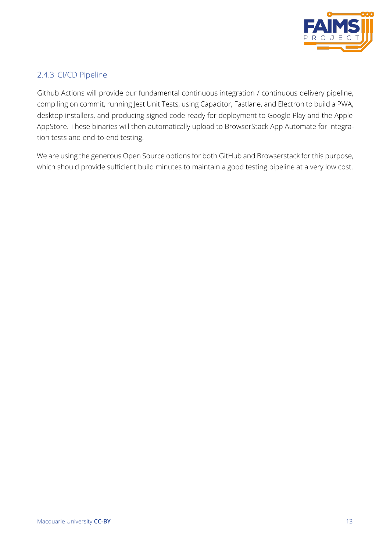

#### 2.4.3 CI/CD Pipeline

Github Actions will provide our fundamental continuous integration / continuous delivery pipeline, compiling on commit, running Jest Unit Tests, using Capacitor, Fastlane, and Electron to build a PWA, desktop installers, and producing signed code ready for deployment to Google Play and the Apple AppStore. These binaries will then automatically upload to BrowserStack App Automate for integration tests and end-to-end testing.

We are using the generous Open Source options for both GitHub and Browserstack for this purpose, which should provide sufficient build minutes to maintain a good testing pipeline at a very low cost.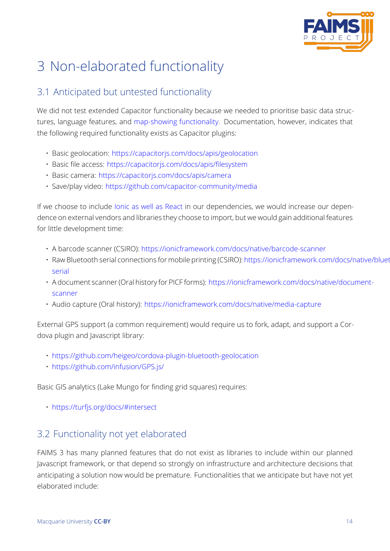

# 3 Non-elaborated functionality

## 3.1 Anticipated but untested functionality

<span id="page-13-1"></span><span id="page-13-0"></span>We did not test extended Capacitor functionality because we needed to prioritise basic data structures, language features, and map-showing functionality. Documentation, however, indicates that the following required functionality exists as Capacitor plugins:

- Basic geolocation: https:/[/capacitorjs.com/docs/apis/](https://capacitorjs.com/docs/plugins/community)geolocation
- Basic file access: https://capacitorjs.com/docs/apis/filesystem
- Basic camera: https://capacitorjs.com/docs/apis/camera
- Save/play video: h[ttps://github.com/capacitor-community/media](https://capacitorjs.com/docs/apis/geolocation)

If we choose to include [Ionic as well as React](https://capacitorjs.com/docs/apis/camera) in our dependencies, we would increase our dependence on external ve[ndors and libraries they choose to import, but we](https://github.com/capacitor-community/media) would gain additional features for little development time:

- A barcode scanner (CSIRO): https://ionicframework.com/docs/native/barcode-scanner
- Raw Bluetooth serial connections for mobile printing (CSIRO): https://ionicframework.com/docs/native/bluetoot serial
- A document scanner (Oral history for PICF forms): [https://ionicframework.com/docs/nat](https://ionicframework.com/docs/native/barcode-scanner)ive/documentscanner
- [Audio](https://ionicframework.com/docs/native/bluetooth-serial) capture (Oral history): https://ionicframework.com/docs/native/media-capture

Exte[rnal GPS](https://ionicframework.com/docs/native/document-scanner) support (a common requirement) would require us to fork, adapt, and support a Cordova plugin and Javascript library[:](https://ionicframework.com/docs/native/media-capture)

- https://github.com/heigeo/cordova-plugin-bluetooth-geolocation
- https://github.com/infusion/GPS.js/

Basi[c GIS analytics \(Lake Mungo for finding grid squares\) requires:](https://github.com/heigeo/cordova-plugin-bluetooth-geolocation)

• https://turfjs.org/docs/#intersect

### 3.2 [Functionality not yet elab](https://turfjs.org/docs/#intersect)orated

<span id="page-13-2"></span>FAIMS 3 has many planned features that do not exist as libraries to include within our planned Javascript framework, or that depend so strongly on infrastructure and architecture decisions that anticipating a solution now would be premature. Functionalities that we anticipate but have not yet elaborated include: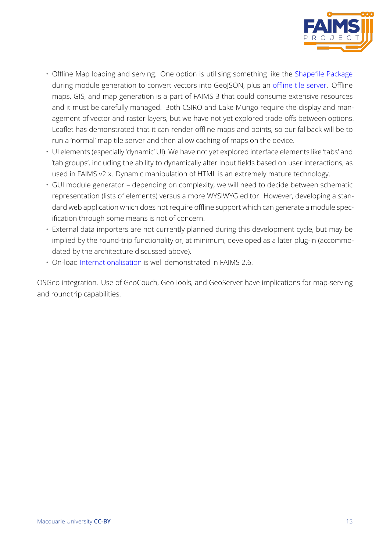

- Offline Map loading and serving. One option is utilising something like the Shapefile Package during module generation to convert vectors into GeoJSON, plus an offline tile server. Offline maps, GIS, and map generation is a part of FAIMS 3 that could consume extensive resources and it must be carefully managed. Both CSIRO and Lake Mungo require th[e display and man](https://www.npmjs.com/package/shapefile)agement of vector and raster layers, but we have not yet explored tr[ade-offs between](https://www.npmjs.com/package/mapeo-server) options. Leaflet has demonstrated that it can render offline maps and points, so our fallback will be to run a 'normal' map tile server and then allow caching of maps on the device.
- UI elements (especially 'dynamic' UI). We have not yet explored interface elements like 'tabs' and 'tab groups', including the ability to dynamically alter input fields based on user interactions, as used in FAIMS v2.x. Dynamic manipulation of HTML is an extremely mature technology.
- GUI module generator depending on complexity, we will need to decide between schematic representation (lists of elements) versus a more WYSIWYG editor. However, developing a standard web application which does not require offline support which can generate a module specification through some means is not of concern.
- External data importers are not currently planned during this development cycle, but may be implied by the round-trip functionality or, at minimum, developed as a later plug-in (accommodated by the architecture discussed above).
- On-load Internationalisation is well demonstrated in FAIMS 2.6.

OSGeo integration. Use of GeoCouch, GeoTools, and GeoServer have implications for map-serving and roundtri[p capabilities.](https://react.i18next.com/)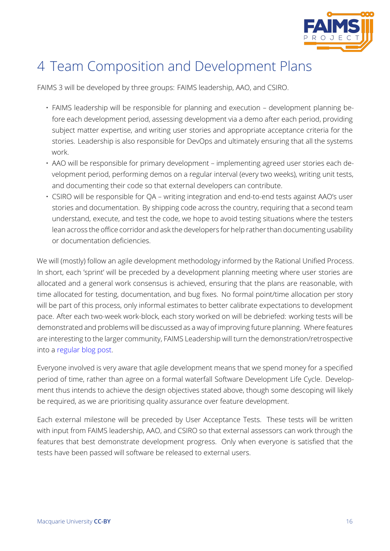

## 4 Team Composition and Development Plans

FAIMS 3 will be developed by three groups: FAIMS leadership, AAO, and CSIRO.

- <span id="page-15-0"></span>• FAIMS leadership will be responsible for planning and execution – development planning before each development period, assessing development via a demo after each period, providing subject matter expertise, and writing user stories and appropriate acceptance criteria for the stories. Leadership is also responsible for DevOps and ultimately ensuring that all the systems work.
- AAO will be responsible for primary development implementing agreed user stories each development period, performing demos on a regular interval (every two weeks), writing unit tests, and documenting their code so that external developers can contribute.
- CSIRO will be responsible for QA writing integration and end-to-end tests against AAO's user stories and documentation. By shipping code across the country, requiring that a second team understand, execute, and test the code, we hope to avoid testing situations where the testers lean across the office corridor and ask the developers for help rather than documenting usability or documentation deficiencies.

We will (mostly) follow an agile development methodology informed by the Rational Unified Process. In short, each 'sprint' will be preceded by a development planning meeting where user stories are allocated and a general work consensus is achieved, ensuring that the plans are reasonable, with time allocated for testing, documentation, and bug fixes. No formal point/time allocation per story will be part of this process, only informal estimates to better calibrate expectations to development pace. After each two-week work-block, each story worked on will be debriefed: working tests will be demonstrated and problems will be discussed as a way of improving future planning. Where features are interesting to the larger community, FAIMS Leadership will turn the demonstration/retrospective into a regular blog post.

Everyone involved is very aware that agile development means that we spend money for a specified perio[d of time, rather th](https://factorio.com/blog/)an agree on a formal waterfall Software Development Life Cycle. Development thus intends to achieve the design objectives stated above, though some descoping will likely be required, as we are prioritising quality assurance over feature development.

Each external milestone will be preceded by User Acceptance Tests. These tests will be written with input from FAIMS leadership, AAO, and CSIRO so that external assessors can work through the features that best demonstrate development progress. Only when everyone is satisfied that the tests have been passed will software be released to external users.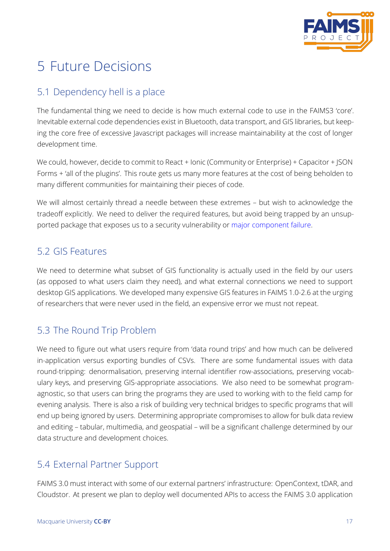

# 5 Future Decisions

## 5.1 Dependency hell is a place

<span id="page-16-1"></span><span id="page-16-0"></span>The fundamental thing we need to decide is how much external code to use in the FAIMS3 'core'. Inevitable external code dependencies exist in Bluetooth, data transport, and GIS libraries, but keeping the core free of excessive Javascript packages will increase maintainability at the cost of longer development time.

We could, however, decide to commit to React + Ionic (Community or Enterprise) + Capacitor + JSON Forms + 'all of the plugins'. This route gets us many more features at the cost of being beholden to many different communities for maintaining their pieces of code.

We will almost certainly thread a needle between these extremes – but wish to acknowledge the tradeoff explicitly. We need to deliver the required features, but avoid being trapped by an unsupported package that exposes us to a security vulnerability or major component failure.

## 5.2 GIS Features

<span id="page-16-2"></span>We need to determine what subset of GIS functionality is actually used in the field by our users (as opposed to what users claim they need), and what external connections we need to support desktop GIS applications. We developed many expensive GIS features in FAIMS 1.0-2.6 at the urging of researchers that were never used in the field, an expensive error we must not repeat.

## 5.3 The Round Trip Problem

<span id="page-16-3"></span>We need to figure out what users require from 'data round trips' and how much can be delivered in-application versus exporting bundles of CSVs. There are some fundamental issues with data round-tripping: denormalisation, preserving internal identifier row-associations, preserving vocabulary keys, and preserving GIS-appropriate associations. We also need to be somewhat programagnostic, so that users can bring the programs they are used to working with to the field camp for evening analysis. There is also a risk of building very technical bridges to specific programs that will end up being ignored by users. Determining appropriate compromises to allow for bulk data review and editing – tabular, multimedia, and geospatial – will be a significant challenge determined by our data structure and development choices.

### 5.4 External Partner Support

FAIMS 3.0 must interact with some of our external partners' infrastructure: OpenContext, tDAR, and Cloudstor. At present we plan to deploy well documented APIs to access the FAIMS 3.0 application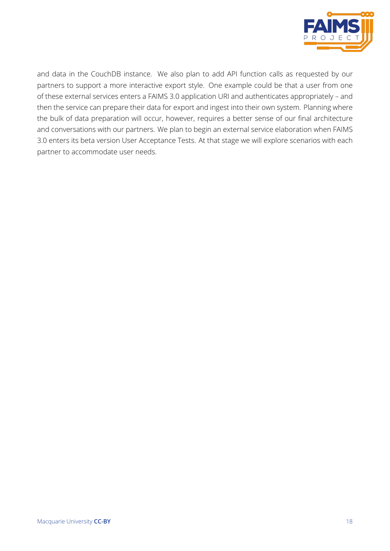

and data in the CouchDB instance. We also plan to add API function calls as requested by our partners to support a more interactive export style. One example could be that a user from one of these external services enters a FAIMS 3.0 application URI and authenticates appropriately – and then the service can prepare their data for export and ingest into their own system. Planning where the bulk of data preparation will occur, however, requires a better sense of our final architecture and conversations with our partners. We plan to begin an external service elaboration when FAIMS 3.0 enters its beta version User Acceptance Tests. At that stage we will explore scenarios with each partner to accommodate user needs.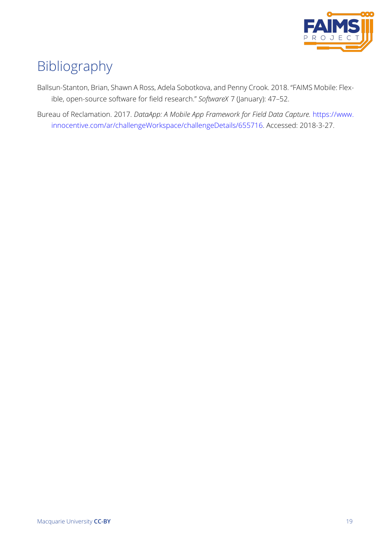

## Bibliography

Ballsun-Stanton, Brian, Shawn A Ross, Adela Sobotkova, and Penny Crook. 2018. "FAIMS Mobile: Flexible, open-source software for field research." *SoftwareX* 7 (January): 47–52.

<span id="page-18-0"></span>Bureau of Reclamation. 2017. *DataApp: A Mobile App Framework for Field Data Capture.* https://www. innocentive.com/ar/challengeWorkspace/challengeDetails/655716. Accessed: 2018-3-27.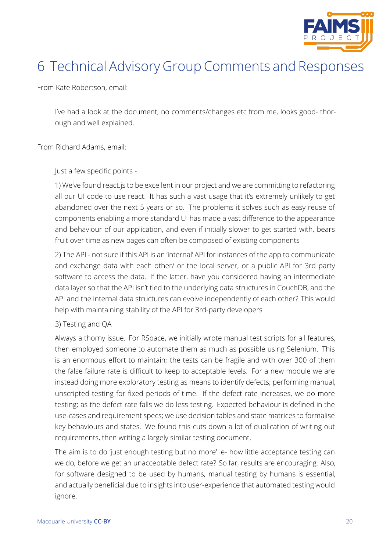

## 6 Technical Advisory Group Comments and Responses

From Kate Robertson, email:

I've had a look at the document, no comments/changes etc from me, looks good- thorough and well explained.

From Richard Adams, email:

Just a few specific points -

1) We've found react.js to be excellent in our project and we are committing to refactoring all our UI code to use react. It has such a vast usage that it's extremely unlikely to get abandoned over the next 5 years or so. The problems it solves such as easy reuse of components enabling a more standard UI has made a vast difference to the appearance and behaviour of our application, and even if initially slower to get started with, bears fruit over time as new pages can often be composed of existing components

2) The API - not sure if this API is an 'internal' API for instances of the app to communicate and exchange data with each other/ or the local server, or a public API for 3rd party software to access the data. If the latter, have you considered having an intermediate data layer so that the API isn't tied to the underlying data structures in CouchDB, and the API and the internal data structures can evolve independently of each other? This would help with maintaining stability of the API for 3rd-party developers

#### 3) Testing and QA

Always a thorny issue. For RSpace, we initially wrote manual test scripts for all features, then employed someone to automate them as much as possible using Selenium. This is an enormous effort to maintain; the tests can be fragile and with over 300 of them the false failure rate is difficult to keep to acceptable levels. For a new module we are instead doing more exploratory testing as means to identify defects; performing manual, unscripted testing for fixed periods of time. If the defect rate increases, we do more testing; as the defect rate falls we do less testing. Expected behaviour is defined in the use-cases and requirement specs; we use decision tables and state matrices to formalise key behaviours and states. We found this cuts down a lot of duplication of writing out requirements, then writing a largely similar testing document.

The aim is to do 'just enough testing but no more' ie- how little acceptance testing can we do, before we get an unacceptable defect rate? So far, results are encouraging. Also, for software designed to be used by humans, manual testing by humans is essential, and actually beneficial due to insights into user-experience that automated testing would ignore.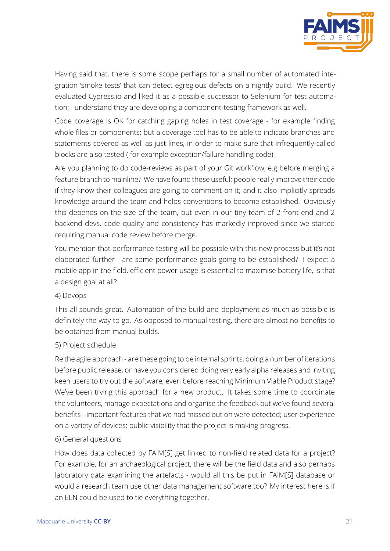

Having said that, there is some scope perhaps for a small number of automated integration 'smoke tests' that can detect egregious defects on a nightly build. We recently evaluated Cypress.io and liked it as a possible successor to Selenium for test automation; I understand they are developing a component-testing framework as well.

Code coverage is OK for catching gaping holes in test coverage - for example finding whole files or components; but a coverage tool has to be able to indicate branches and statements covered as well as just lines, in order to make sure that infrequently-called blocks are also tested ( for example exception/failure handling code).

Are you planning to do code-reviews as part of your Git workflow, e.g before merging a feature branch to mainline? We have found these useful; people really improve their code if they know their colleagues are going to comment on it; and it also implicitly spreads knowledge around the team and helps conventions to become established. Obviously this depends on the size of the team, but even in our tiny team of 2 front-end and 2 backend devs, code quality and consistency has markedly improved since we started requiring manual code review before merge.

You mention that performance testing will be possible with this new process but it's not elaborated further - are some performance goals going to be established? I expect a mobile app in the field, efficient power usage is essential to maximise battery life, is that a design goal at all?

#### 4) Devops

This all sounds great. Automation of the build and deployment as much as possible is definitely the way to go. As opposed to manual testing, there are almost no benefits to be obtained from manual builds.

#### 5) Project schedule

Re the agile approach - are these going to be internal sprints, doing a number of iterations before public release, or have you considered doing very early alpha releases and inviting keen users to try out the software, even before reaching Minimum Viable Product stage? We've been trying this approach for a new product. It takes some time to coordinate the volunteers, manage expectations and organise the feedback but we've found several benefits - important features that we had missed out on were detected; user experience on a variety of devices; public visibility that the project is making progress.

#### 6) General questions

How does data collected by FAIM[S] get linked to non-field related data for a project? For example, for an archaeological project, there will be the field data and also perhaps laboratory data examining the artefacts - would all this be put in FAIM[S] database or would a research team use other data management software too? My interest here is if an ELN could be used to tie everything together.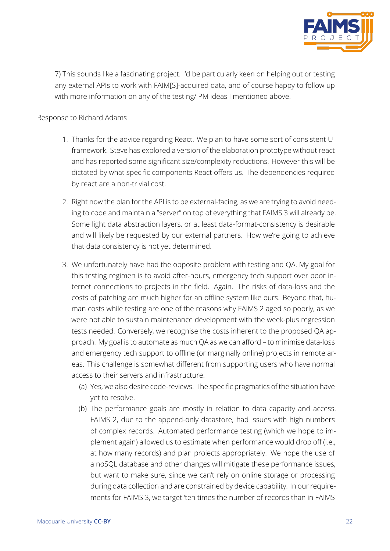

7) This sounds like a fascinating project. I'd be particularly keen on helping out or testing any external APIs to work with FAIM[S]-acquired data, and of course happy to follow up with more information on any of the testing/ PM ideas I mentioned above.

#### Response to Richard Adams

- 1. Thanks for the advice regarding React. We plan to have some sort of consistent UI framework. Steve has explored a version of the elaboration prototype without react and has reported some significant size/complexity reductions. However this will be dictated by what specific components React offers us. The dependencies required by react are a non-trivial cost.
- 2. Right now the plan for the API is to be external-facing, as we are trying to avoid needing to code and maintain a "server" on top of everything that FAIMS 3 will already be. Some light data abstraction layers, or at least data-format-consistency is desirable and will likely be requested by our external partners. How we're going to achieve that data consistency is not yet determined.
- 3. We unfortunately have had the opposite problem with testing and QA. My goal for this testing regimen is to avoid after-hours, emergency tech support over poor internet connections to projects in the field. Again. The risks of data-loss and the costs of patching are much higher for an offline system like ours. Beyond that, human costs while testing are one of the reasons why FAIMS 2 aged so poorly, as we were not able to sustain maintenance development with the week-plus regression tests needed. Conversely, we recognise the costs inherent to the proposed QA approach. My goal is to automate as much QA as we can afford – to minimise data-loss and emergency tech support to offline (or marginally online) projects in remote areas. This challenge is somewhat different from supporting users who have normal access to their servers and infrastructure.
	- (a) Yes, we also desire code-reviews. The specific pragmatics of the situation have yet to resolve.
	- (b) The performance goals are mostly in relation to data capacity and access. FAIMS 2, due to the append-only datastore, had issues with high numbers of complex records. Automated performance testing (which we hope to implement again) allowed us to estimate when performance would drop off (i.e., at how many records) and plan projects appropriately. We hope the use of a noSQL database and other changes will mitigate these performance issues, but want to make sure, since we can't rely on online storage or processing during data collection and are constrained by device capability. In our requirements for FAIMS 3, we target 'ten times the number of records than in FAIMS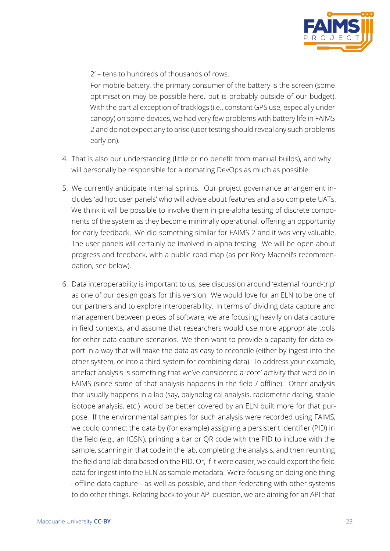

2' – tens to hundreds of thousands of rows.

For mobile battery, the primary consumer of the battery is the screen (some optimisation may be possible here, but is probably outside of our budget). With the partial exception of tracklogs (i.e., constant GPS use, especially under canopy) on some devices, we had very few problems with battery life in FAIMS 2 and do not expect any to arise (user testing should reveal any such problems early on).

- 4. That is also our understanding (little or no benefit from manual builds), and why I will personally be responsible for automating DevOps as much as possible.
- 5. We currently anticipate internal sprints. Our project governance arrangement includes 'ad hoc user panels' who will advise about features and also complete UATs. We think it will be possible to involve them in pre-alpha testing of discrete components of the system as they become minimally operational, offering an opportunity for early feedback. We did something similar for FAIMS 2 and it was very valuable. The user panels will certainly be involved in alpha testing. We will be open about progress and feedback, with a public road map (as per Rory Macneil's recommendation, see below).
- 6. Data interoperability is important to us, see discussion around 'external round-trip' as one of our design goals for this version. We would love for an ELN to be one of our partners and to explore interoperability. In terms of dividing data capture and management between pieces of software, we are focusing heavily on data capture in field contexts, and assume that researchers would use more appropriate tools for other data capture scenarios. We then want to provide a capacity for data export in a way that will make the data as easy to reconcile (either by ingest into the other system, or into a third system for combining data). To address your example, artefact analysis is something that we've considered a 'core' activity that we'd do in FAIMS (since some of that analysis happens in the field / offline). Other analysis that usually happens in a lab (say, palynological analysis, radiometric dating, stable isotope analysis, etc.) would be better covered by an ELN built more for that purpose. If the environmental samples for such analysis were recorded using FAIMS, we could connect the data by (for example) assigning a persistent identifier (PID) in the field (e.g., an IGSN), printing a bar or QR code with the PID to include with the sample, scanning in that code in the lab, completing the analysis, and then reuniting the field and lab data based on the PID. Or, if it were easier, we could export the field data for ingest into the ELN as sample metadata. We're focusing on doing one thing - offline data capture - as well as possible, and then federating with other systems to do other things. Relating back to your API question, we are aiming for an API that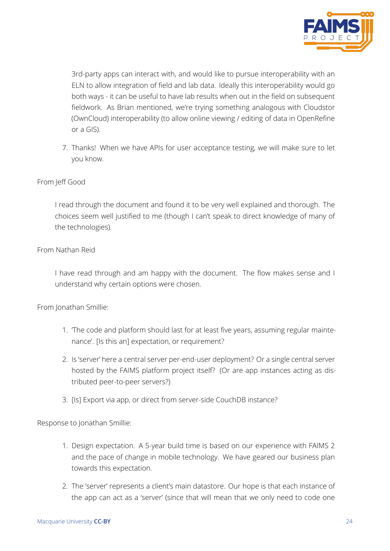

3rd-party apps can interact with, and would like to pursue interoperability with an ELN to allow integration of field and lab data. Ideally this interoperability would go both ways - it can be useful to have lab results when out in the field on subsequent fieldwork. As Brian mentioned, we're trying something analogous with Cloudstor (OwnCloud) interoperability (to allow online viewing / editing of data in OpenRefine or a GIS).

7. Thanks! When we have APIs for user acceptance testing, we will make sure to let you know.

#### From Jeff Good

I read through the document and found it to be very well explained and thorough. The choices seem well justified to me (though I can't speak to direct knowledge of many of the technologies).

#### From Nathan Reid

I have read through and am happy with the document. The flow makes sense and I understand why certain options were chosen.

From Jonathan Smillie:

- 1. 'The code and platform should last for at least five years, assuming regular maintenance'. [Is this an] expectation, or requirement?
- 2. Is 'server' here a central server per-end-user deployment? Or a single central server hosted by the FAIMS platform project itself? (Or are app instances acting as distributed peer-to-peer servers?)
- 3. [Is] Export via app, or direct from server-side CouchDB instance?

Response to Jonathan Smillie:

- 1. Design expectation. A 5-year build time is based on our experience with FAIMS 2 and the pace of change in mobile technology. We have geared our business plan towards this expectation.
- 2. The 'server' represents a client's main datastore. Our hope is that each instance of the app can act as a 'server' (since that will mean that we only need to code one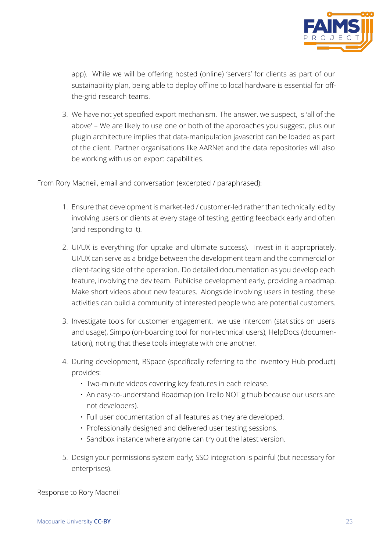

app). While we will be offering hosted (online) 'servers' for clients as part of our sustainability plan, being able to deploy offline to local hardware is essential for offthe-grid research teams.

3. We have not yet specified export mechanism. The answer, we suspect, is 'all of the above' – We are likely to use one or both of the approaches you suggest, plus our plugin architecture implies that data-manipulation javascript can be loaded as part of the client. Partner organisations like AARNet and the data repositories will also be working with us on export capabilities.

From Rory Macneil, email and conversation (excerpted / paraphrased):

- 1. Ensure that development is market-led / customer-led rather than technically led by involving users or clients at every stage of testing, getting feedback early and often (and responding to it).
- 2. UI/UX is everything (for uptake and ultimate success). Invest in it appropriately. UI/UX can serve as a bridge between the development team and the commercial or client-facing side of the operation. Do detailed documentation as you develop each feature, involving the dev team. Publicise development early, providing a roadmap. Make short videos about new features. Alongside involving users in testing, these activities can build a community of interested people who are potential customers.
- 3. Investigate tools for customer engagement. we use Intercom (statistics on users and usage), Simpo (on-boarding tool for non-technical users), HelpDocs (documentation), noting that these tools integrate with one another.
- 4. During development, RSpace (specifically referring to the Inventory Hub product) provides:
	- Two-minute videos covering key features in each release.
	- An easy-to-understand Roadmap (on Trello NOT github because our users are not developers).
	- Full user documentation of all features as they are developed.
	- Professionally designed and delivered user testing sessions.
	- Sandbox instance where anyone can try out the latest version.
- 5. Design your permissions system early; SSO integration is painful (but necessary for enterprises).

Response to Rory Macneil